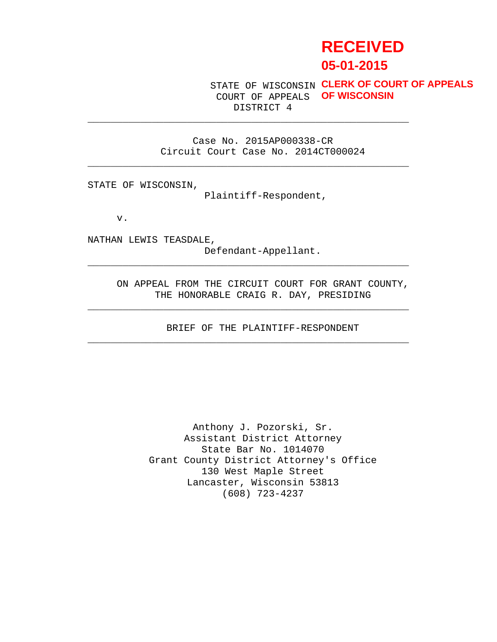# **RECEIVED 05-01-2015**

STATE OF WISCONSIN **CLERK OF COURT OF APPEALS** COURT OF APPEALS **OF WISCONSIN**DISTRICT 4

Case No. 2015AP000338-CR Circuit Court Case No. 2014CT000024

\_\_\_\_\_\_\_\_\_\_\_\_\_\_\_\_\_\_\_\_\_\_\_\_\_\_\_\_\_\_\_\_\_\_\_\_\_\_\_\_\_\_\_\_\_\_\_\_\_\_\_\_\_\_\_

\_\_\_\_\_\_\_\_\_\_\_\_\_\_\_\_\_\_\_\_\_\_\_\_\_\_\_\_\_\_\_\_\_\_\_\_\_\_\_\_\_\_\_\_\_\_\_\_\_\_\_\_\_\_\_

STATE OF WISCONSIN,

Plaintiff-Respondent,

v.

NATHAN LEWIS TEASDALE, Defendant-Appellant.

> ON APPEAL FROM THE CIRCUIT COURT FOR GRANT COUNTY, THE HONORABLE CRAIG R. DAY, PRESIDING

\_\_\_\_\_\_\_\_\_\_\_\_\_\_\_\_\_\_\_\_\_\_\_\_\_\_\_\_\_\_\_\_\_\_\_\_\_\_\_\_\_\_\_\_\_\_\_\_\_\_\_\_\_\_\_

\_\_\_\_\_\_\_\_\_\_\_\_\_\_\_\_\_\_\_\_\_\_\_\_\_\_\_\_\_\_\_\_\_\_\_\_\_\_\_\_\_\_\_\_\_\_\_\_\_\_\_\_\_\_\_

\_\_\_\_\_\_\_\_\_\_\_\_\_\_\_\_\_\_\_\_\_\_\_\_\_\_\_\_\_\_\_\_\_\_\_\_\_\_\_\_\_\_\_\_\_\_\_\_\_\_\_\_\_\_\_

BRIEF OF THE PLAINTIFF-RESPONDENT

Anthony J. Pozorski, Sr. Assistant District Attorney State Bar No. 1014070 Grant County District Attorney's Office 130 West Maple Street Lancaster, Wisconsin 53813 (608) 723-4237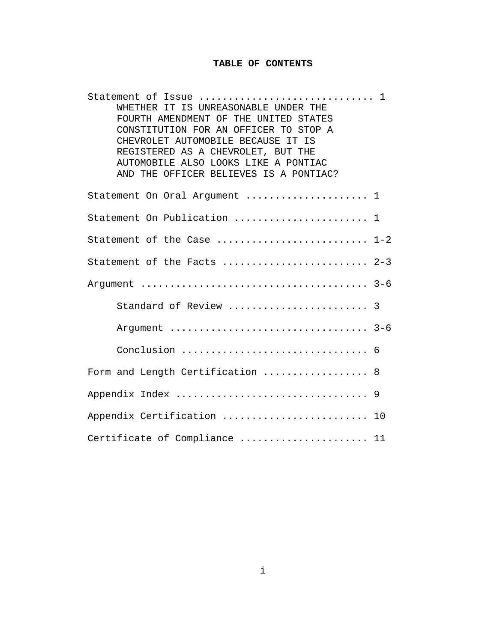# **TABLE OF CONTENTS**

| Statement of Issue  1<br>WHETHER IT IS UNREASONABLE UNDER THE<br>FOURTH AMENDMENT OF THE UNITED STATES<br>CONSTITUTION FOR AN OFFICER TO STOP A<br>CHEVROLET AUTOMOBILE BECAUSE IT IS<br>REGISTERED AS A CHEVROLET, BUT THE<br>AUTOMOBILE ALSO LOOKS LIKE A PONTIAC<br>AND THE OFFICER BELIEVES IS A PONTIAC? |
|---------------------------------------------------------------------------------------------------------------------------------------------------------------------------------------------------------------------------------------------------------------------------------------------------------------|
| Statement On Oral Argument  1                                                                                                                                                                                                                                                                                 |
| Statement On Publication  1                                                                                                                                                                                                                                                                                   |
| Statement of the Case  1-2                                                                                                                                                                                                                                                                                    |
| Statement of the Facts  2-3                                                                                                                                                                                                                                                                                   |
|                                                                                                                                                                                                                                                                                                               |
| Standard of Review  3                                                                                                                                                                                                                                                                                         |
| Argument  3-6                                                                                                                                                                                                                                                                                                 |
|                                                                                                                                                                                                                                                                                                               |
| Form and Length Certification  8                                                                                                                                                                                                                                                                              |
|                                                                                                                                                                                                                                                                                                               |
| Appendix Certification  10                                                                                                                                                                                                                                                                                    |
| Certificate of Compliance  11                                                                                                                                                                                                                                                                                 |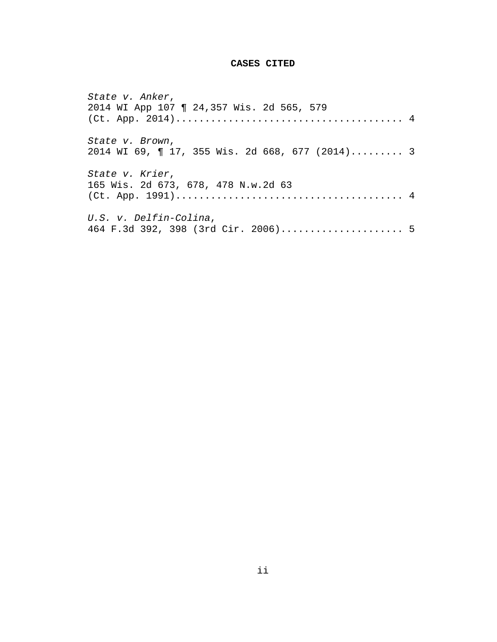# **CASES CITED**

| State v. Anker,                                 |  |
|-------------------------------------------------|--|
| 2014 WI App 107   24,357 Wis. 2d 565, 579       |  |
|                                                 |  |
| State v. Brown,                                 |  |
| 2014 WI 69, ¶ 17, 355 Wis. 2d 668, 677 (2014) 3 |  |
| State v. Krier,                                 |  |
| 165 Wis. 2d 673, 678, 478 N.w.2d 63             |  |
|                                                 |  |
| U.S. v. Delfin-Colina,                          |  |
| 464 F.3d 392, 398 (3rd Cir. 2006) 5             |  |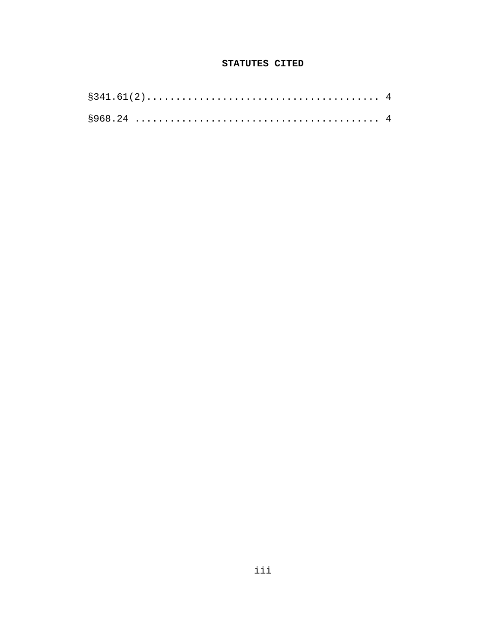# STATUTES CITED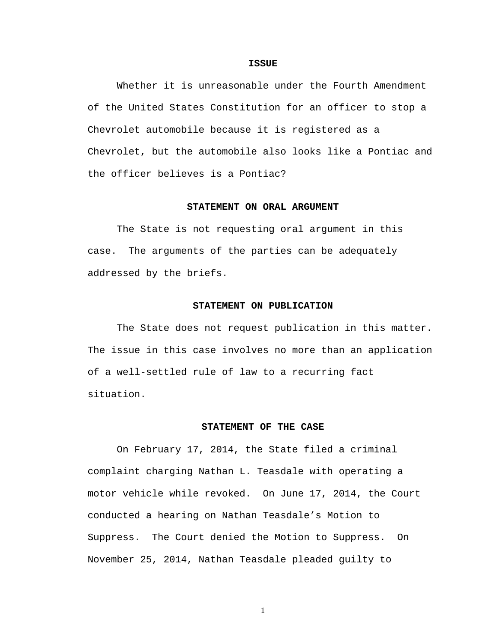#### **ISSUE**

 Whether it is unreasonable under the Fourth Amendment of the United States Constitution for an officer to stop a Chevrolet automobile because it is registered as a Chevrolet, but the automobile also looks like a Pontiac and the officer believes is a Pontiac?

## **STATEMENT ON ORAL ARGUMENT**

 The State is not requesting oral argument in this case. The arguments of the parties can be adequately addressed by the briefs.

### **STATEMENT ON PUBLICATION**

 The State does not request publication in this matter. The issue in this case involves no more than an application of a well-settled rule of law to a recurring fact situation.

#### **STATEMENT OF THE CASE**

 On February 17, 2014, the State filed a criminal complaint charging Nathan L. Teasdale with operating a motor vehicle while revoked. On June 17, 2014, the Court conducted a hearing on Nathan Teasdale's Motion to Suppress. The Court denied the Motion to Suppress. On November 25, 2014, Nathan Teasdale pleaded guilty to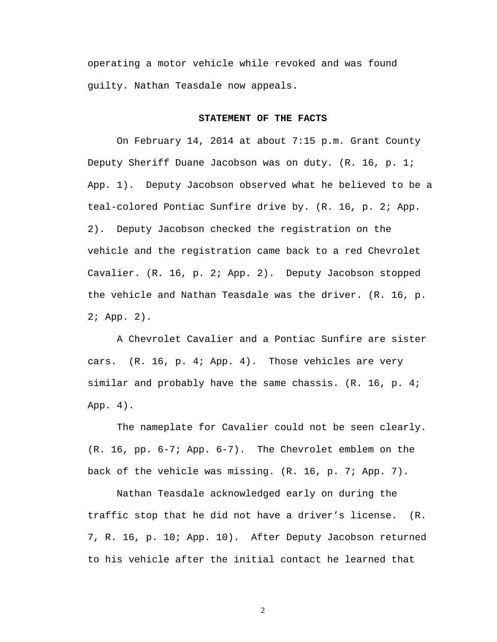operating a motor vehicle while revoked and was found guilty. Nathan Teasdale now appeals.

#### **STATEMENT OF THE FACTS**

 On February 14, 2014 at about 7:15 p.m. Grant County Deputy Sheriff Duane Jacobson was on duty. (R. 16, p. 1; App. 1). Deputy Jacobson observed what he believed to be a teal-colored Pontiac Sunfire drive by. (R. 16, p. 2; App. 2). Deputy Jacobson checked the registration on the vehicle and the registration came back to a red Chevrolet Cavalier. (R. 16, p. 2; App. 2). Deputy Jacobson stopped the vehicle and Nathan Teasdale was the driver. (R. 16, p. 2; App. 2).

 A Chevrolet Cavalier and a Pontiac Sunfire are sister cars. (R. 16, p. 4; App. 4). Those vehicles are very similar and probably have the same chassis. (R. 16, p. 4; App. 4).

 The nameplate for Cavalier could not be seen clearly. (R. 16, pp. 6-7; App. 6-7). The Chevrolet emblem on the back of the vehicle was missing. (R. 16, p. 7; App. 7).

 Nathan Teasdale acknowledged early on during the traffic stop that he did not have a driver's license. (R. 7, R. 16, p. 10; App. 10). After Deputy Jacobson returned to his vehicle after the initial contact he learned that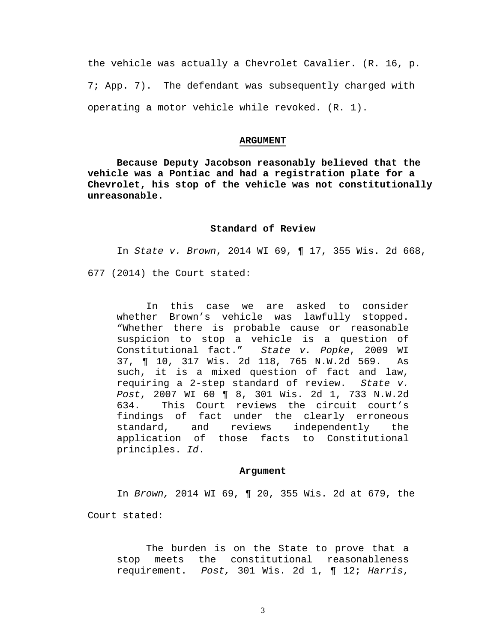the vehicle was actually a Chevrolet Cavalier. (R. 16, p. 7; App. 7). The defendant was subsequently charged with operating a motor vehicle while revoked. (R. 1).

#### **ARGUMENT**

**Because Deputy Jacobson reasonably believed that the vehicle was a Pontiac and had a registration plate for a Chevrolet, his stop of the vehicle was not constitutionally unreasonable.** 

## **Standard of Review**

In State v. Brown, 2014 WI 69, ¶ 17, 355 Wis. 2d 668,

677 (2014) the Court stated:

 In this case we are asked to consider whether Brown's vehicle was lawfully stopped. "Whether there is probable cause or reasonable suspicion to stop a vehicle is a question of Constitutional fact." State v. Popke, 2009 WI 37, ¶ 10, 317 Wis. 2d 118, 765 N.W.2d 569. As such, it is a mixed question of fact and law, requiring a 2-step standard of review. State v. Post, 2007 WI 60 ¶ 8, 301 Wis. 2d 1, 733 N.W.2d 634. This Court reviews the circuit court's findings of fact under the clearly erroneous standard, and reviews independently the application of those facts to Constitutional principles. Id.

#### **Argument**

In Brown, 2014 WI 69, ¶ 20, 355 Wis. 2d at 679, the

Court stated:

 The burden is on the State to prove that a stop meets the constitutional reasonableness requirement. Post, 301 Wis. 2d 1, ¶ 12; Harris,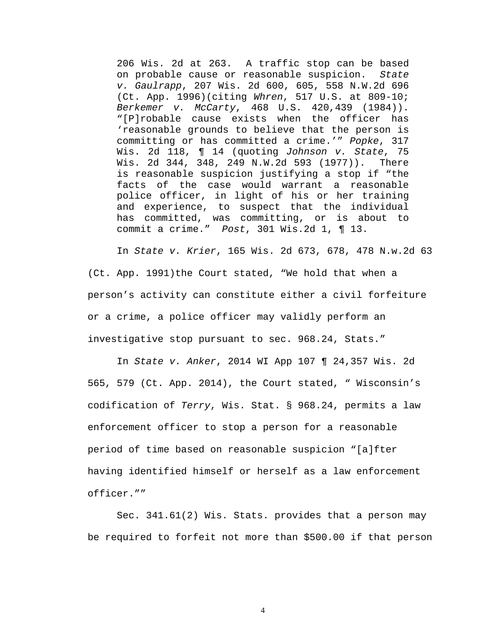206 Wis. 2d at 263. A traffic stop can be based on probable cause or reasonable suspicion. State v. Gaulrapp, 207 Wis. 2d 600, 605, 558 N.W.2d 696 (Ct. App. 1996)(citing Whren, 517 U.S. at 809-10; Berkemer v. McCarty, 468 U.S. 420,439 (1984)). "[P]robable cause exists when the officer has 'reasonable grounds to believe that the person is committing or has committed a crime.'" Popke, 317 Wis. 2d 118, ¶ 14 (quoting Johnson v. State, 75 Wis. 2d 344, 348, 249 N.W.2d 593 (1977)). There is reasonable suspicion justifying a stop if "the facts of the case would warrant a reasonable police officer, in light of his or her training and experience, to suspect that the individual has committed, was committing, or is about to commit a crime." Post, 301 Wis.2d 1, ¶ 13.

 In State v. Krier, 165 Wis. 2d 673, 678, 478 N.w.2d 63 (Ct. App. 1991)the Court stated, "We hold that when a person's activity can constitute either a civil forfeiture or a crime, a police officer may validly perform an investigative stop pursuant to sec. 968.24, Stats."

 In State v. Anker, 2014 WI App 107 ¶ 24,357 Wis. 2d 565, 579 (Ct. App. 2014), the Court stated, " Wisconsin's codification of Terry, Wis. Stat. § 968.24, permits a law enforcement officer to stop a person for a reasonable period of time based on reasonable suspicion "[a]fter having identified himself or herself as a law enforcement officer.""

 Sec. 341.61(2) Wis. Stats. provides that a person may be required to forfeit not more than \$500.00 if that person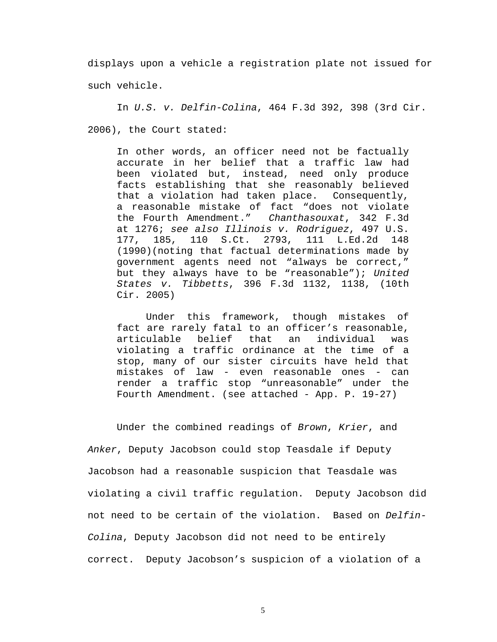displays upon a vehicle a registration plate not issued for such vehicle.

 In U.S. v. Delfin-Colina, 464 F.3d 392, 398 (3rd Cir. 2006), the Court stated:

 In other words, an officer need not be factually accurate in her belief that a traffic law had been violated but, instead, need only produce facts establishing that she reasonably believed that a violation had taken place. Consequently, a reasonable mistake of fact "does not violate the Fourth Amendment." Chanthasouxat, 342 F.3d at 1276; see also Illinois v. Rodriguez, 497 U.S. 177, 185, 110 S.Ct. 2793, 111 L.Ed.2d 148 (1990)(noting that factual determinations made by government agents need not "always be correct," but they always have to be "reasonable"); United States v. Tibbetts, 396 F.3d 1132, 1138, (10th Cir. 2005)

 Under this framework, though mistakes of fact are rarely fatal to an officer's reasonable, articulable belief that an individual was violating a traffic ordinance at the time of a stop, many of our sister circuits have held that mistakes of law - even reasonable ones - can render a traffic stop "unreasonable" under the Fourth Amendment. (see attached - App. P. 19-27)

 Under the combined readings of Brown, Krier, and Anker, Deputy Jacobson could stop Teasdale if Deputy Jacobson had a reasonable suspicion that Teasdale was violating a civil traffic regulation. Deputy Jacobson did not need to be certain of the violation. Based on Delfin-Colina, Deputy Jacobson did not need to be entirely correct. Deputy Jacobson's suspicion of a violation of a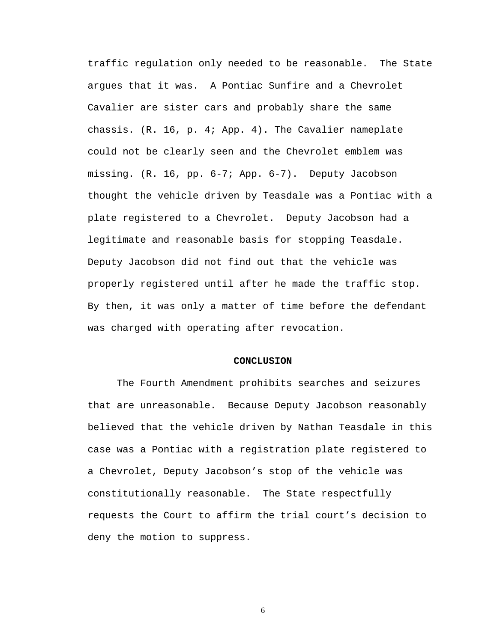traffic regulation only needed to be reasonable. The State argues that it was. A Pontiac Sunfire and a Chevrolet Cavalier are sister cars and probably share the same chassis. (R. 16, p. 4; App. 4). The Cavalier nameplate could not be clearly seen and the Chevrolet emblem was missing. (R. 16, pp. 6-7; App. 6-7). Deputy Jacobson thought the vehicle driven by Teasdale was a Pontiac with a plate registered to a Chevrolet. Deputy Jacobson had a legitimate and reasonable basis for stopping Teasdale. Deputy Jacobson did not find out that the vehicle was properly registered until after he made the traffic stop. By then, it was only a matter of time before the defendant was charged with operating after revocation.

#### **CONCLUSION**

 The Fourth Amendment prohibits searches and seizures that are unreasonable. Because Deputy Jacobson reasonably believed that the vehicle driven by Nathan Teasdale in this case was a Pontiac with a registration plate registered to a Chevrolet, Deputy Jacobson's stop of the vehicle was constitutionally reasonable. The State respectfully requests the Court to affirm the trial court's decision to deny the motion to suppress.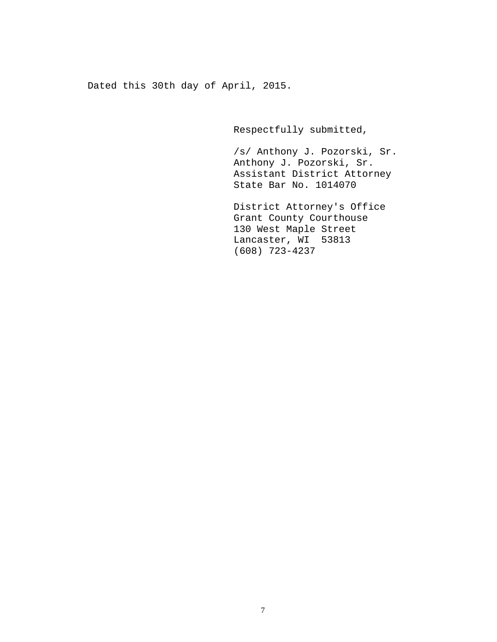Dated this 30th day of April, 2015.

Respectfully submitted,

 /s/ Anthony J. Pozorski, Sr. Anthony J. Pozorski, Sr. Assistant District Attorney State Bar No. 1014070

 District Attorney's Office Grant County Courthouse 130 West Maple Street Lancaster, WI 53813 (608) 723-4237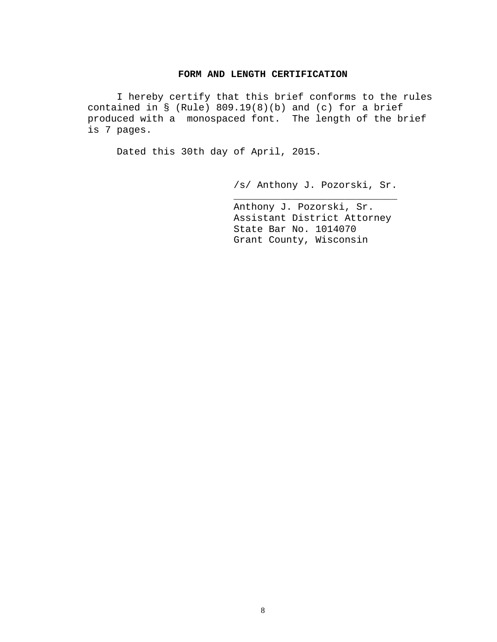## **FORM AND LENGTH CERTIFICATION**

 I hereby certify that this brief conforms to the rules contained in  $\S$  (Rule) 809.19(8)(b) and (c) for a brief produced with a monospaced font. The length of the brief is 7 pages.

 $\frac{1}{\sqrt{2\pi}}$  ,  $\frac{1}{\sqrt{2\pi}}$  ,  $\frac{1}{\sqrt{2\pi}}$  ,  $\frac{1}{\sqrt{2\pi}}$  ,  $\frac{1}{\sqrt{2\pi}}$  ,  $\frac{1}{\sqrt{2\pi}}$  ,  $\frac{1}{\sqrt{2\pi}}$  ,  $\frac{1}{\sqrt{2\pi}}$  ,  $\frac{1}{\sqrt{2\pi}}$  ,  $\frac{1}{\sqrt{2\pi}}$  ,  $\frac{1}{\sqrt{2\pi}}$  ,  $\frac{1}{\sqrt{2\pi}}$  ,  $\frac{1}{\sqrt{2\pi}}$  ,

Dated this 30th day of April, 2015.

/s/ Anthony J. Pozorski, Sr.

 Anthony J. Pozorski, Sr. Assistant District Attorney State Bar No. 1014070 Grant County, Wisconsin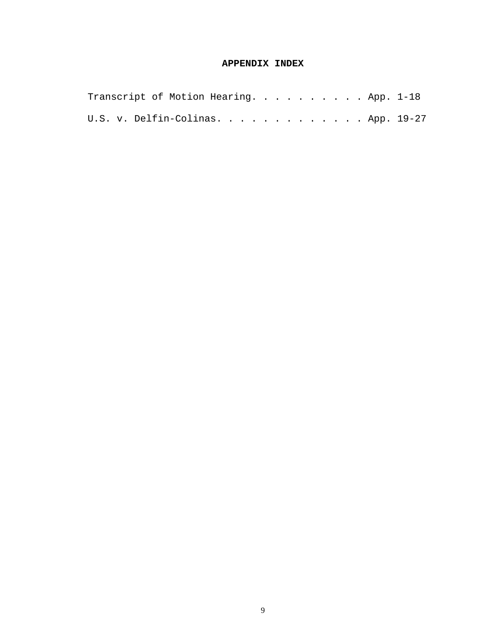# **APPENDIX INDEX**

| Transcript of Motion Hearing. App. 1-18 |  |  |  |  |  |  |  |  |
|-----------------------------------------|--|--|--|--|--|--|--|--|
| U.S. v. Delfin-Colinas. App. 19-27      |  |  |  |  |  |  |  |  |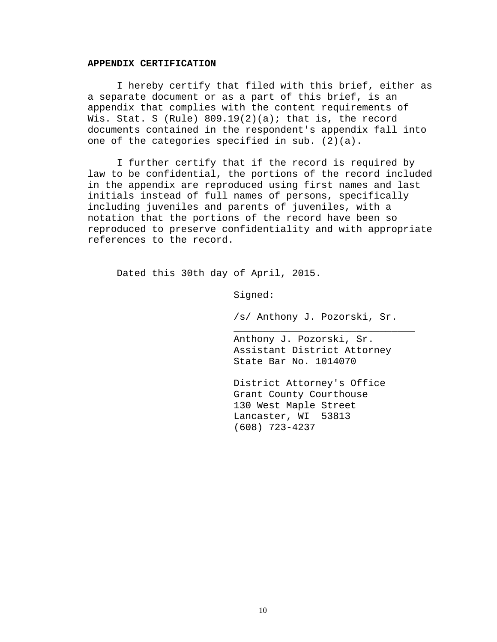#### **APPENDIX CERTIFICATION**

 I hereby certify that filed with this brief, either as a separate document or as a part of this brief, is an appendix that complies with the content requirements of Wis. Stat. S (Rule)  $809.19(2)(a)$ ; that is, the record documents contained in the respondent's appendix fall into one of the categories specified in sub. (2)(a).

 I further certify that if the record is required by law to be confidential, the portions of the record included in the appendix are reproduced using first names and last initials instead of full names of persons, specifically including juveniles and parents of juveniles, with a notation that the portions of the record have been so reproduced to preserve confidentiality and with appropriate references to the record.

Dated this 30th day of April, 2015.

Signed:

 $\overline{\phantom{a}}$  ,  $\overline{\phantom{a}}$  ,  $\overline{\phantom{a}}$  ,  $\overline{\phantom{a}}$  ,  $\overline{\phantom{a}}$  ,  $\overline{\phantom{a}}$  ,  $\overline{\phantom{a}}$  ,  $\overline{\phantom{a}}$  ,  $\overline{\phantom{a}}$  ,  $\overline{\phantom{a}}$  ,  $\overline{\phantom{a}}$  ,  $\overline{\phantom{a}}$  ,  $\overline{\phantom{a}}$  ,  $\overline{\phantom{a}}$  ,  $\overline{\phantom{a}}$  ,  $\overline{\phantom{a}}$ 

/s/ Anthony J. Pozorski, Sr.

 Anthony J. Pozorski, Sr. Assistant District Attorney State Bar No. 1014070

 District Attorney's Office Grant County Courthouse 130 West Maple Street Lancaster, WI 53813 (608) 723-4237